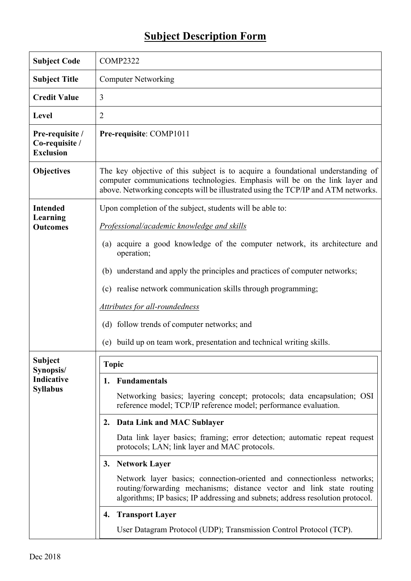## **Subject Description Form**

| <b>Subject Code</b>                                   | <b>COMP2322</b>                                                                                                                                                                                                                                      |  |  |  |  |
|-------------------------------------------------------|------------------------------------------------------------------------------------------------------------------------------------------------------------------------------------------------------------------------------------------------------|--|--|--|--|
| <b>Subject Title</b>                                  | <b>Computer Networking</b>                                                                                                                                                                                                                           |  |  |  |  |
| <b>Credit Value</b>                                   | 3                                                                                                                                                                                                                                                    |  |  |  |  |
| <b>Level</b>                                          | $\overline{2}$                                                                                                                                                                                                                                       |  |  |  |  |
| Pre-requisite /<br>Co-requisite /<br><b>Exclusion</b> | Pre-requisite: COMP1011                                                                                                                                                                                                                              |  |  |  |  |
| <b>Objectives</b>                                     | The key objective of this subject is to acquire a foundational understanding of<br>computer communications technologies. Emphasis will be on the link layer and<br>above. Networking concepts will be illustrated using the TCP/IP and ATM networks. |  |  |  |  |
| <b>Intended</b>                                       | Upon completion of the subject, students will be able to:                                                                                                                                                                                            |  |  |  |  |
| <b>Learning</b><br><b>Outcomes</b>                    | Professional/academic knowledge and skills                                                                                                                                                                                                           |  |  |  |  |
|                                                       | acquire a good knowledge of the computer network, its architecture and<br>$\left( a\right)$<br>operation;                                                                                                                                            |  |  |  |  |
|                                                       | (b) understand and apply the principles and practices of computer networks;                                                                                                                                                                          |  |  |  |  |
|                                                       | (c) realise network communication skills through programming;                                                                                                                                                                                        |  |  |  |  |
|                                                       | <b>Attributes for all-roundedness</b>                                                                                                                                                                                                                |  |  |  |  |
|                                                       | (d) follow trends of computer networks; and                                                                                                                                                                                                          |  |  |  |  |
|                                                       | build up on team work, presentation and technical writing skills.<br>(e)                                                                                                                                                                             |  |  |  |  |
| <b>Subject</b><br>Synopsis/                           | Topic                                                                                                                                                                                                                                                |  |  |  |  |
| Indicative<br><b>Syllabus</b>                         | <b>Fundamentals</b><br>1.                                                                                                                                                                                                                            |  |  |  |  |
|                                                       | Networking basics; layering concept; protocols; data encapsulation; OSI<br>reference model; TCP/IP reference model; performance evaluation.                                                                                                          |  |  |  |  |
|                                                       | Data Link and MAC Sublayer<br>2.                                                                                                                                                                                                                     |  |  |  |  |
|                                                       | Data link layer basics; framing; error detection; automatic repeat request<br>protocols; LAN; link layer and MAC protocols.                                                                                                                          |  |  |  |  |
|                                                       | <b>Network Layer</b><br>3.                                                                                                                                                                                                                           |  |  |  |  |
|                                                       | Network layer basics; connection-oriented and connectionless networks;<br>routing/forwarding mechanisms; distance vector and link state routing<br>algorithms; IP basics; IP addressing and subnets; address resolution protocol.                    |  |  |  |  |
|                                                       | <b>Transport Layer</b><br>4.                                                                                                                                                                                                                         |  |  |  |  |
|                                                       | User Datagram Protocol (UDP); Transmission Control Protocol (TCP).                                                                                                                                                                                   |  |  |  |  |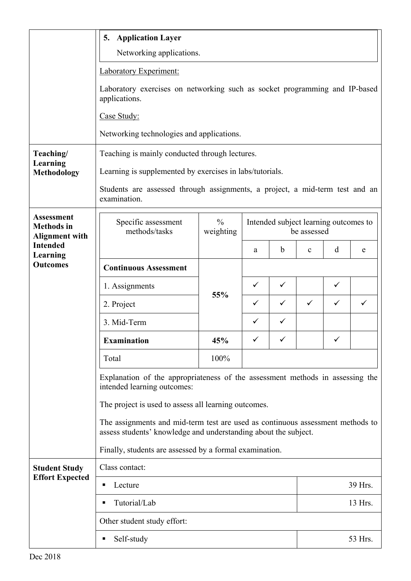|                                                                 | <b>Application Layer</b><br>5.                                                                                                                                                                                                                                                                                                                                                       |                            |                                                      |             |              |              |   |  |  |
|-----------------------------------------------------------------|--------------------------------------------------------------------------------------------------------------------------------------------------------------------------------------------------------------------------------------------------------------------------------------------------------------------------------------------------------------------------------------|----------------------------|------------------------------------------------------|-------------|--------------|--------------|---|--|--|
|                                                                 | Networking applications.                                                                                                                                                                                                                                                                                                                                                             |                            |                                                      |             |              |              |   |  |  |
|                                                                 | Laboratory Experiment:                                                                                                                                                                                                                                                                                                                                                               |                            |                                                      |             |              |              |   |  |  |
|                                                                 | Laboratory exercises on networking such as socket programming and IP-based<br>applications.                                                                                                                                                                                                                                                                                          |                            |                                                      |             |              |              |   |  |  |
|                                                                 | Case Study:                                                                                                                                                                                                                                                                                                                                                                          |                            |                                                      |             |              |              |   |  |  |
|                                                                 | Networking technologies and applications.                                                                                                                                                                                                                                                                                                                                            |                            |                                                      |             |              |              |   |  |  |
| Teaching/                                                       | Teaching is mainly conducted through lectures.                                                                                                                                                                                                                                                                                                                                       |                            |                                                      |             |              |              |   |  |  |
| Learning<br><b>Methodology</b>                                  | Learning is supplemented by exercises in labs/tutorials.                                                                                                                                                                                                                                                                                                                             |                            |                                                      |             |              |              |   |  |  |
|                                                                 | Students are assessed through assignments, a project, a mid-term test and an<br>examination.                                                                                                                                                                                                                                                                                         |                            |                                                      |             |              |              |   |  |  |
| <b>Assessment</b><br><b>Methods</b> in<br><b>Alignment with</b> | Specific assessment<br>methods/tasks                                                                                                                                                                                                                                                                                                                                                 | $\frac{0}{0}$<br>weighting | Intended subject learning outcomes to<br>be assessed |             |              |              |   |  |  |
| <b>Intended</b><br>Learning                                     |                                                                                                                                                                                                                                                                                                                                                                                      |                            | a                                                    | $\mathbf b$ | $\mathbf c$  | d            | e |  |  |
| <b>Outcomes</b>                                                 | <b>Continuous Assessment</b>                                                                                                                                                                                                                                                                                                                                                         |                            |                                                      |             |              |              |   |  |  |
|                                                                 | 1. Assignments                                                                                                                                                                                                                                                                                                                                                                       | 55%                        | $\checkmark$                                         | ✓           |              | ✓            |   |  |  |
|                                                                 | 2. Project                                                                                                                                                                                                                                                                                                                                                                           |                            | ✓                                                    | ✓           | $\checkmark$ | ✓            |   |  |  |
|                                                                 | 3. Mid-Term                                                                                                                                                                                                                                                                                                                                                                          |                            | ✓                                                    | ✓           |              |              |   |  |  |
|                                                                 | <b>Examination</b>                                                                                                                                                                                                                                                                                                                                                                   | 45%                        |                                                      |             |              | $\checkmark$ |   |  |  |
|                                                                 | Total                                                                                                                                                                                                                                                                                                                                                                                | 100%                       |                                                      |             |              |              |   |  |  |
|                                                                 | Explanation of the appropriateness of the assessment methods in assessing the<br>intended learning outcomes:<br>The project is used to assess all learning outcomes.<br>The assignments and mid-term test are used as continuous assessment methods to<br>assess students' knowledge and understanding about the subject.<br>Finally, students are assessed by a formal examination. |                            |                                                      |             |              |              |   |  |  |
|                                                                 |                                                                                                                                                                                                                                                                                                                                                                                      |                            |                                                      |             |              |              |   |  |  |
|                                                                 |                                                                                                                                                                                                                                                                                                                                                                                      |                            |                                                      |             |              |              |   |  |  |
|                                                                 |                                                                                                                                                                                                                                                                                                                                                                                      |                            |                                                      |             |              |              |   |  |  |
| <b>Student Study</b>                                            | Class contact:                                                                                                                                                                                                                                                                                                                                                                       |                            |                                                      |             |              |              |   |  |  |
| <b>Effort Expected</b>                                          | Lecture                                                                                                                                                                                                                                                                                                                                                                              |                            |                                                      |             | 39 Hrs.      |              |   |  |  |
|                                                                 | Tutorial/Lab                                                                                                                                                                                                                                                                                                                                                                         |                            |                                                      |             |              | 13 Hrs.      |   |  |  |
|                                                                 | Other student study effort:                                                                                                                                                                                                                                                                                                                                                          |                            |                                                      |             |              |              |   |  |  |
|                                                                 | Self-study                                                                                                                                                                                                                                                                                                                                                                           |                            |                                                      |             |              | 53 Hrs.      |   |  |  |